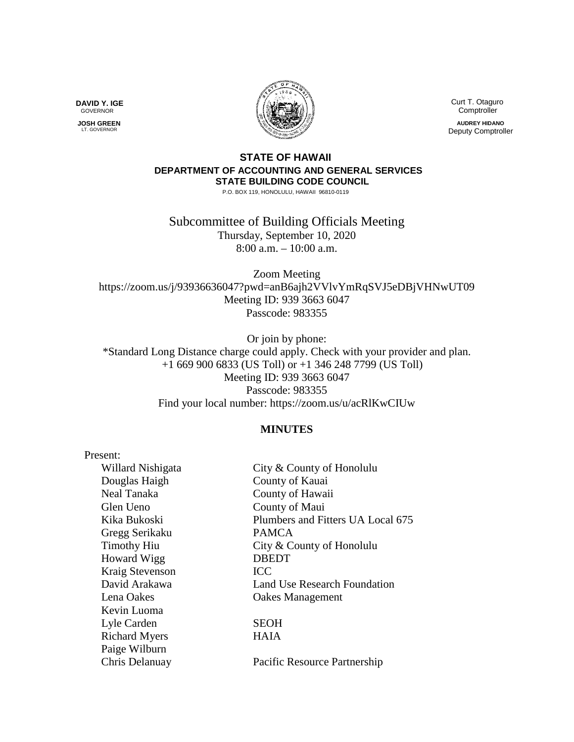

 Curt T. Otaguro **Comptroller AUDREY HIDANO**

Deputy Comptroller

## **STATE OF HAWAII DEPARTMENT OF ACCOUNTING AND GENERAL SERVICES STATE BUILDING CODE COUNCIL**

P.O. BOX 119, HONOLULU, HAWAII 96810-0119

Subcommittee of Building Officials Meeting Thursday, September 10, 2020 8:00 a.m. – 10:00 a.m.

Zoom Meeting https://zoom.us/j/93936636047?pwd=anB6ajh2VVlvYmRqSVJ5eDBjVHNwUT09 Meeting ID: 939 3663 6047 Passcode: 983355

Or join by phone: \*Standard Long Distance charge could apply. Check with your provider and plan. +1 669 900 6833 (US Toll) or +1 346 248 7799 (US Toll) Meeting ID: 939 3663 6047 Passcode: 983355 Find your local number: https://zoom.us/u/acRlKwCIUw

## **MINUTES**

| Present:             |                                   |
|----------------------|-----------------------------------|
| Willard Nishigata    | City & County of Honolulu         |
| Douglas Haigh        | County of Kauai                   |
| Neal Tanaka          | County of Hawaii                  |
| Glen Ueno            | County of Maui                    |
| Kika Bukoski         | Plumbers and Fitters UA Local 675 |
| Gregg Serikaku       | <b>PAMCA</b>                      |
| <b>Timothy Hiu</b>   | City & County of Honolulu         |
| <b>Howard Wigg</b>   | <b>DBEDT</b>                      |
| Kraig Stevenson      | <b>ICC</b>                        |
| David Arakawa        | Land Use Research Foundation      |
| Lena Oakes           | <b>Oakes Management</b>           |
| Kevin Luoma          |                                   |
| Lyle Carden          | <b>SEOH</b>                       |
| <b>Richard Myers</b> | <b>HAIA</b>                       |
| Paige Wilburn        |                                   |
| Chris Delanuay       | Pacific Resource Partnership      |

**DAVID Y. IGE** GOVERNOR

 **JOSH GREEN** LT. GOVERNOR